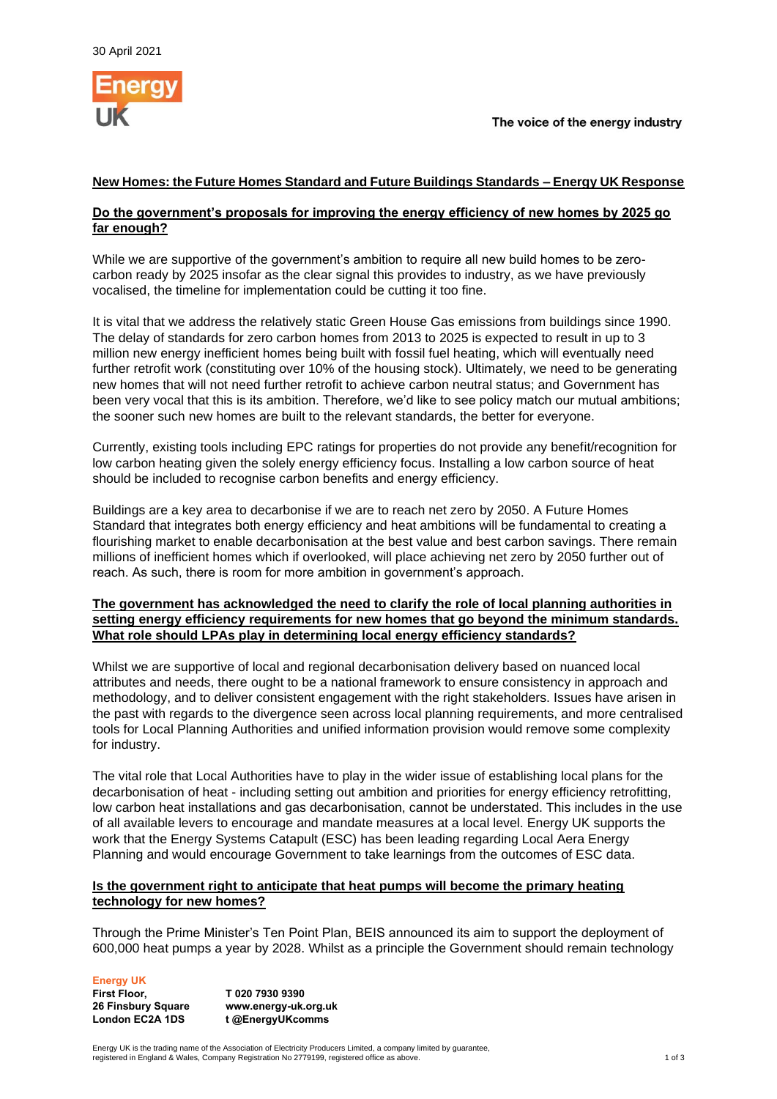

# **New Homes: the Future Homes Standard and Future Buildings Standards – Energy UK Response**

## **Do the government's proposals for improving the energy efficiency of new homes by 2025 go far enough?**

While we are supportive of the government's ambition to require all new build homes to be zerocarbon ready by 2025 insofar as the clear signal this provides to industry, as we have previously vocalised, the timeline for implementation could be cutting it too fine.

It is vital that we address the relatively static Green House Gas emissions from buildings since 1990. The delay of standards for zero carbon homes from 2013 to 2025 is expected to result in up to 3 million new energy inefficient homes being built with fossil fuel heating, which will eventually need further retrofit work (constituting over 10% of the housing stock). Ultimately, we need to be generating new homes that will not need further retrofit to achieve carbon neutral status; and Government has been very vocal that this is its ambition. Therefore, we'd like to see policy match our mutual ambitions; the sooner such new homes are built to the relevant standards, the better for everyone.

Currently, existing tools including EPC ratings for properties do not provide any benefit/recognition for low carbon heating given the solely energy efficiency focus. Installing a low carbon source of heat should be included to recognise carbon benefits and energy efficiency.

Buildings are a key area to decarbonise if we are to reach net zero by 2050. A Future Homes Standard that integrates both energy efficiency and heat ambitions will be fundamental to creating a flourishing market to enable decarbonisation at the best value and best carbon savings. There remain millions of inefficient homes which if overlooked, will place achieving net zero by 2050 further out of reach. As such, there is room for more ambition in government's approach.

#### **The government has acknowledged the need to clarify the role of local planning authorities in setting energy efficiency requirements for new homes that go beyond the minimum standards. What role should LPAs play in determining local energy efficiency standards?**

Whilst we are supportive of local and regional decarbonisation delivery based on nuanced local attributes and needs, there ought to be a national framework to ensure consistency in approach and methodology, and to deliver consistent engagement with the right stakeholders. Issues have arisen in the past with regards to the divergence seen across local planning requirements, and more centralised tools for Local Planning Authorities and unified information provision would remove some complexity for industry.

The vital role that Local Authorities have to play in the wider issue of establishing local plans for the decarbonisation of heat - including setting out ambition and priorities for energy efficiency retrofitting, low carbon heat installations and gas decarbonisation, cannot be understated. This includes in the use of all available levers to encourage and mandate measures at a local level. Energy UK supports the work that the Energy Systems Catapult (ESC) has been leading regarding Local Aera Energy Planning and would encourage Government to take learnings from the outcomes of ESC data.

## **Is the government right to anticipate that heat pumps will become the primary heating technology for new homes?**

Through the Prime Minister's Ten Point Plan, BEIS announced its aim to support the deployment of 600,000 heat pumps a year by 2028. Whilst as a principle the Government should remain technology

**Energy UK**

**First Floor, 26 Finsbury Square London EC2A 1DS T 020 7930 9390 www.energy-uk.org.uk t @EnergyUKcomms**

Energy UK is the trading name of the Association of Electricity Producers Limited, a company limited by guarantee, registered in England & Wales, Company Registration No 2779199, registered office as above. 1 of 3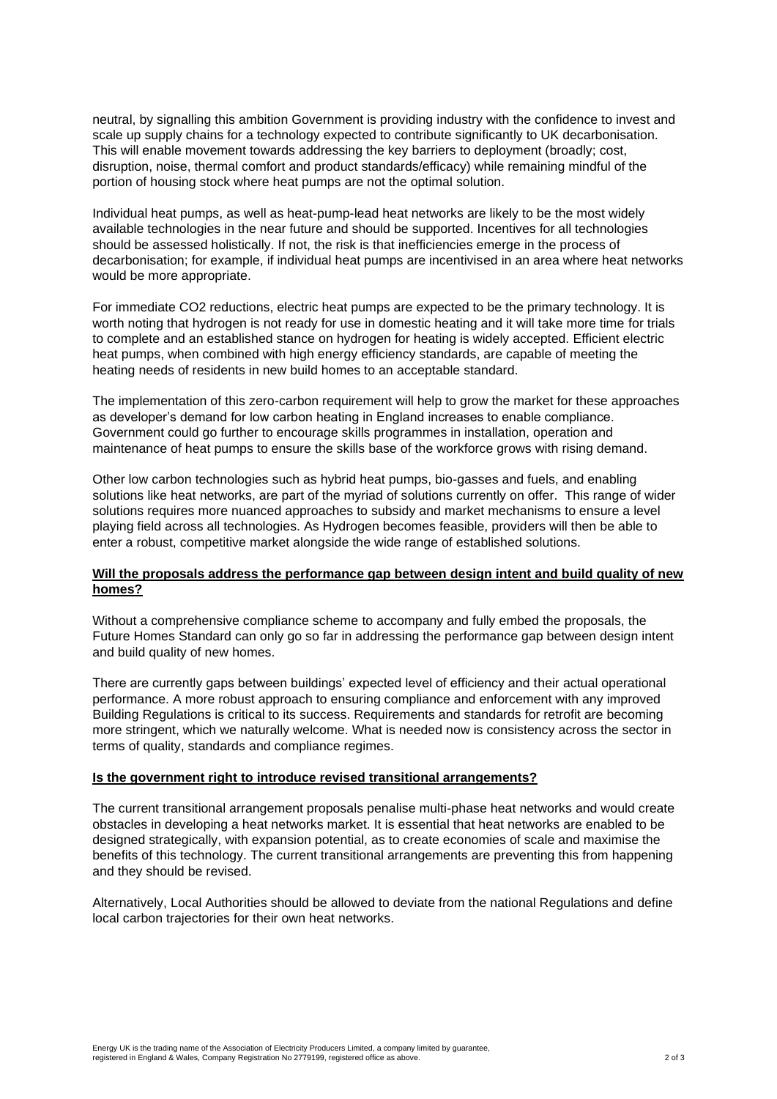neutral, by signalling this ambition Government is providing industry with the confidence to invest and scale up supply chains for a technology expected to contribute significantly to UK decarbonisation. This will enable movement towards addressing the key barriers to deployment (broadly; cost, disruption, noise, thermal comfort and product standards/efficacy) while remaining mindful of the portion of housing stock where heat pumps are not the optimal solution.

Individual heat pumps, as well as heat-pump-lead heat networks are likely to be the most widely available technologies in the near future and should be supported. Incentives for all technologies should be assessed holistically. If not, the risk is that inefficiencies emerge in the process of decarbonisation; for example, if individual heat pumps are incentivised in an area where heat networks would be more appropriate.

For immediate CO2 reductions, electric heat pumps are expected to be the primary technology. It is worth noting that hydrogen is not ready for use in domestic heating and it will take more time for trials to complete and an established stance on hydrogen for heating is widely accepted. Efficient electric heat pumps, when combined with high energy efficiency standards, are capable of meeting the heating needs of residents in new build homes to an acceptable standard.

The implementation of this zero-carbon requirement will help to grow the market for these approaches as developer's demand for low carbon heating in England increases to enable compliance. Government could go further to encourage skills programmes in installation, operation and maintenance of heat pumps to ensure the skills base of the workforce grows with rising demand.

Other low carbon technologies such as hybrid heat pumps, bio-gasses and fuels, and enabling solutions like heat networks, are part of the myriad of solutions currently on offer. This range of wider solutions requires more nuanced approaches to subsidy and market mechanisms to ensure a level playing field across all technologies. As Hydrogen becomes feasible, providers will then be able to enter a robust, competitive market alongside the wide range of established solutions.

## **Will the proposals address the performance gap between design intent and build quality of new homes?**

Without a comprehensive compliance scheme to accompany and fully embed the proposals, the Future Homes Standard can only go so far in addressing the performance gap between design intent and build quality of new homes.

There are currently gaps between buildings' expected level of efficiency and their actual operational performance. A more robust approach to ensuring compliance and enforcement with any improved Building Regulations is critical to its success. Requirements and standards for retrofit are becoming more stringent, which we naturally welcome. What is needed now is consistency across the sector in terms of quality, standards and compliance regimes.

#### **Is the government right to introduce revised transitional arrangements?**

The current transitional arrangement proposals penalise multi-phase heat networks and would create obstacles in developing a heat networks market. It is essential that heat networks are enabled to be designed strategically, with expansion potential, as to create economies of scale and maximise the benefits of this technology. The current transitional arrangements are preventing this from happening and they should be revised.

Alternatively, Local Authorities should be allowed to deviate from the national Regulations and define local carbon trajectories for their own heat networks.